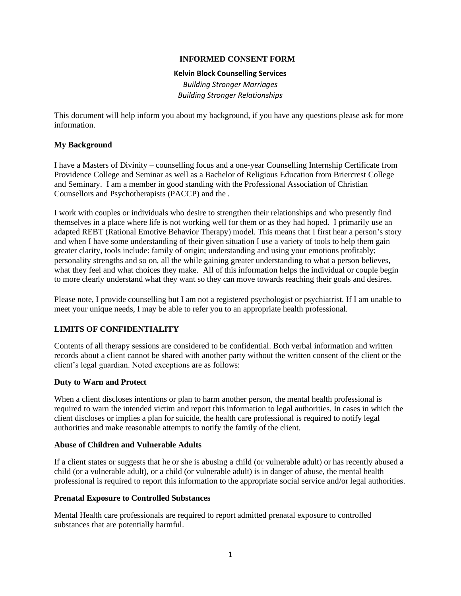### **INFORMED CONSENT FORM**

#### **Kelvin Block Counselling Services**

*Building Stronger Marriages Building Stronger Relationships*

This document will help inform you about my background, if you have any questions please ask for more information.

### **My Background**

I have a Masters of Divinity – counselling focus and a one-year Counselling Internship Certificate from Providence College and Seminar as well as a Bachelor of Religious Education from Briercrest College and Seminary. I am a member in good standing with the Professional Association of Christian Counsellors and Psychotherapists (PACCP) and the .

I work with couples or individuals who desire to strengthen their relationships and who presently find themselves in a place where life is not working well for them or as they had hoped. I primarily use an adapted REBT (Rational Emotive Behavior Therapy) model. This means that I first hear a person's story and when I have some understanding of their given situation I use a variety of tools to help them gain greater clarity, tools include: family of origin; understanding and using your emotions profitably; personality strengths and so on, all the while gaining greater understanding to what a person believes, what they feel and what choices they make. All of this information helps the individual or couple begin to more clearly understand what they want so they can move towards reaching their goals and desires.

Please note, I provide counselling but I am not a registered psychologist or psychiatrist. If I am unable to meet your unique needs, I may be able to refer you to an appropriate health professional.

## **LIMITS OF CONFIDENTIALITY**

Contents of all therapy sessions are considered to be confidential. Both verbal information and written records about a client cannot be shared with another party without the written consent of the client or the client's legal guardian. Noted exceptions are as follows:

#### **Duty to Warn and Protect**

When a client discloses intentions or plan to harm another person, the mental health professional is required to warn the intended victim and report this information to legal authorities. In cases in which the client discloses or implies a plan for suicide, the health care professional is required to notify legal authorities and make reasonable attempts to notify the family of the client.

#### **Abuse of Children and Vulnerable Adults**

If a client states or suggests that he or she is abusing a child (or vulnerable adult) or has recently abused a child (or a vulnerable adult), or a child (or vulnerable adult) is in danger of abuse, the mental health professional is required to report this information to the appropriate social service and/or legal authorities.

#### **Prenatal Exposure to Controlled Substances**

Mental Health care professionals are required to report admitted prenatal exposure to controlled substances that are potentially harmful.